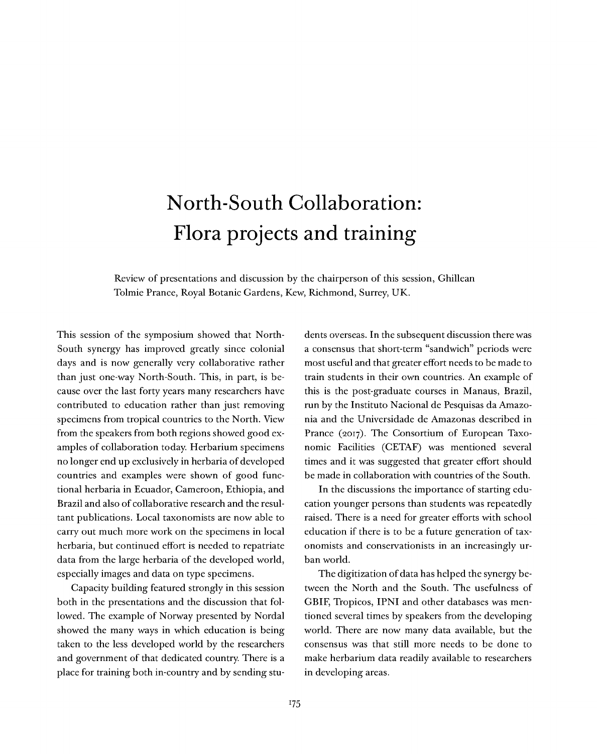## North-South Collaboration: Flora projects and training

Review of presentations and discussion by the chairperson of this session, Ghillean Tolmie Prance, Royal Botanic Gardens, Kew, Richmond, Surrey, UK.

This session of the symposium showed that North-South synergy has improved greatly since colonial days and is now generally very collaborative rather than just one-way North-South. This, in part, is because over the last forty years many researchers have contributed to education rather than just removing specimens from tropical countries to the North. View from the speakers from both regions showed good examples of collaboration today. Herbarium specimens no longer end up exclusively in herbaria of developed countries and examples were shown of good functional herbaria in Ecuador, Cameroon, Ethiopia, and Brazil and also of collaborative research and the resultant publications. Local taxonomists are now able to carry out much more work on the specimens in local herbaria, but continued effort is needed to repatriate data from the large herbaria of the developed world, especially images and data on type specimens.

Capacity building featured strongly in this session both in the presentations and the discussion that followed. The example of Norway presented by Nordal showed the many ways in which education is being taken to the less developed world by the researchers and government of that dedicated country. There is a place for training both in-country and by sending stu-

dents overseas. In the subsequent discussion there was a consensus that short-term "sandwich" periods were most useful and that greater effort needs to be made to train students in their own countries. An example of this is the post-graduate courses in Manaus, Brazil, run by the Instituto Nacional de Pesquisas da Amazonia and the Universidade de Amazonas described in Prance (2017). The Consortium of European Taxonomic Facilities (CETAF) was mentioned several times and it was suggested that greater effort should be made in collaboration with countries of the South.

In the discussions the importance of starting education younger persons than students was repeatedly raised. There is a need for greater efforts with school education if there is to be a future generation of taxonomists and conservationists in an increasingly urban world.

The digitization of data has helped the synergy between the North and the South. The usefulness of GBIF, Tropicos, IPNI and other databases was mentioned several times by speakers from the developing world. There are now many data available, but the consensus was that still more needs to be done to make herbarium data readily available to researchers in developing areas.